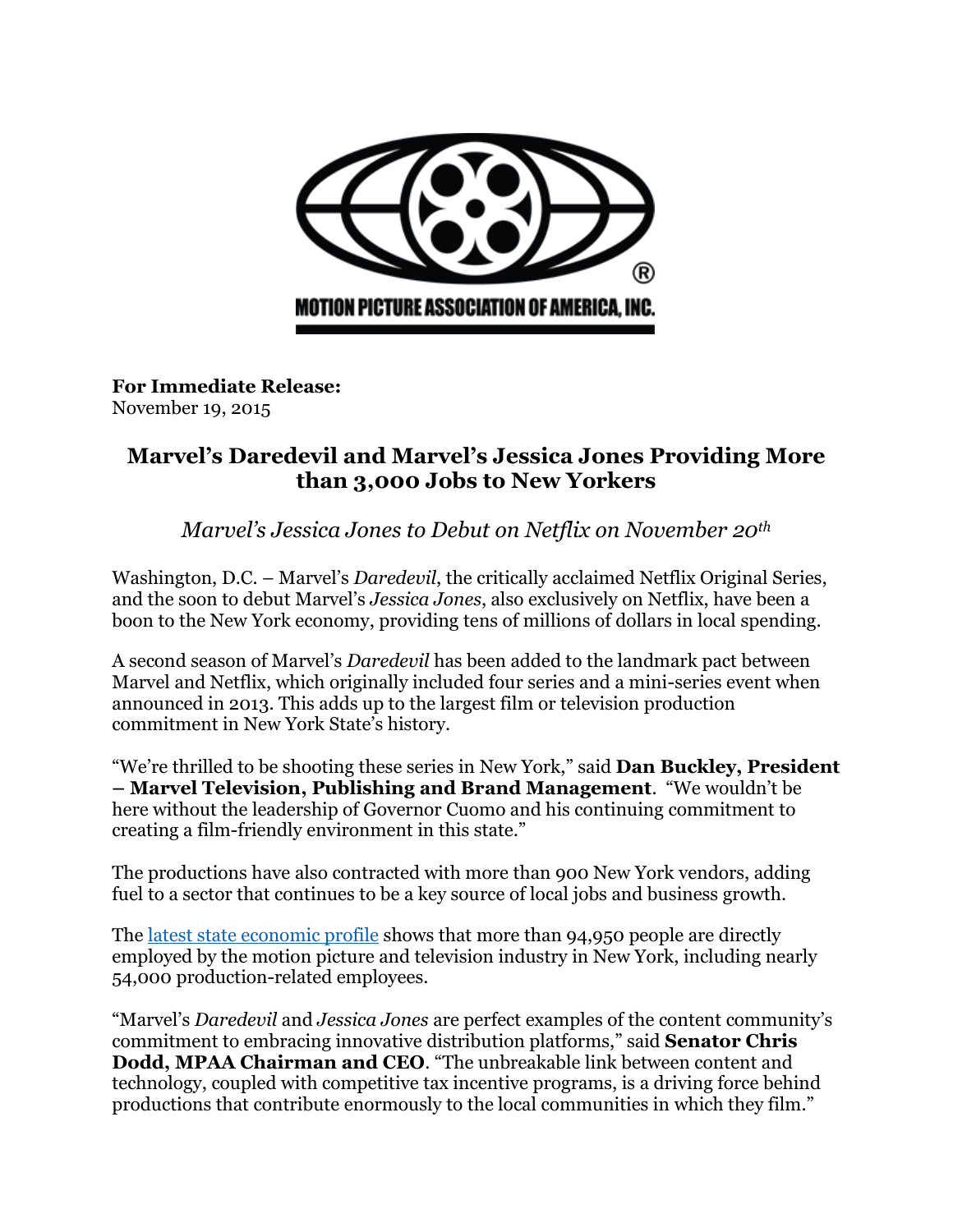

**For Immediate Release:** November 19, 2015

# **Marvel's Daredevil and Marvel's Jessica Jones Providing More than 3,000 Jobs to New Yorkers**

*Marvel's Jessica Jones to Debut on Netflix on November 20th*

Washington, D.C. – Marvel's *Daredevil*, the critically acclaimed Netflix Original Series, and the soon to debut Marvel's *Jessica Jones*, also exclusively on Netflix, have been a boon to the New York economy, providing tens of millions of dollars in local spending.

A second season of Marvel's *Daredevil* has been added to the landmark pact between Marvel and Netflix, which originally included four series and a mini-series event when announced in 2013. This adds up to the largest film or television production commitment in New York State's history.

"We're thrilled to be shooting these series in New York," said **Dan Buckley, President – Marvel Television, Publishing and Brand Management**. "We wouldn't be here without the leadership of Governor Cuomo and his continuing commitment to creating a film-friendly environment in this state."

The productions have also contracted with more than 900 New York vendors, adding fuel to a sector that continues to be a key source of local jobs and business growth.

The [latest state economic profile](http://www.mpaa.org/creating-jobs/) shows that more than 94,950 people are directly employed by the motion picture and television industry in New York, including nearly 54,000 production-related employees.

"Marvel's *Daredevil* and *Jessica Jones* are perfect examples of the content community's commitment to embracing innovative distribution platforms," said **Senator Chris Dodd, MPAA Chairman and CEO**. "The unbreakable link between content and technology, coupled with competitive tax incentive programs, is a driving force behind productions that contribute enormously to the local communities in which they film."